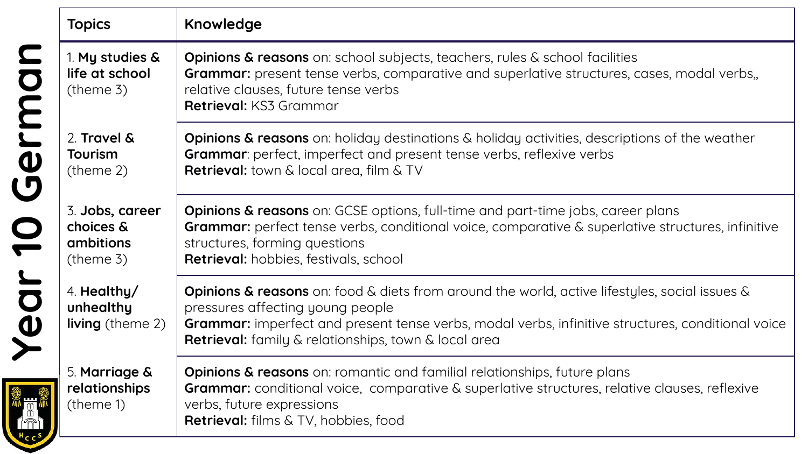|        | <b>Topics</b>                                                       | Knowledge                                                                                                                                                                                                                                                                                                        |
|--------|---------------------------------------------------------------------|------------------------------------------------------------------------------------------------------------------------------------------------------------------------------------------------------------------------------------------------------------------------------------------------------------------|
|        | 1. My studies &<br>life at school<br>$($ theme 3 $)$                | Opinions & reasons on: school subjects, teachers, rules & school facilities<br><b>Grammar:</b> present tense verbs, comparative and superlative structures, cases, modal verbs,<br>relative clauses, future tense verbs<br><b>Retrieval: KS3 Grammar</b>                                                         |
| Germa  | 2. Travel &<br>Tourism<br>(theme 2)                                 | <b>Opinions &amp; reasons</b> on: holiday destinations & holiday activities, descriptions of the weather<br><b>Grammar:</b> perfect, imperfect and present tense verbs, reflexive verbs<br>Retrieval: town & local area, film & TV                                                                               |
|        | 3. Jobs, career<br>choices &<br><b>ambitions</b><br>$($ theme 3 $)$ | <b>Opinions &amp; reasons</b> on: GCSE options, full-time and part-time jobs, career plans<br>Grammar: perfect tense verbs, conditional voice, comparative & superlative structures, infinitive<br>structures, forming questions<br>Retrieval: hobbies, festivals, school                                        |
| Year 1 | 4. Healthy/<br>unhealthy<br><b>living</b> (theme 2)                 | <b>Opinions &amp; reasons</b> on: food & diets from around the world, active lifestyles, social issues &<br>pressures affecting young people<br>Grammar: imperfect and present tense verbs, modal verbs, infinitive structures, conditional voice<br><b>Retrieval:</b> family & relationships, town & local area |
|        | 5. Marriage &<br>relationships<br>(theme 1)                         | <b>Opinions &amp; reasons</b> on: romantic and familial relationships, future plans<br><b>Grammar:</b> conditional voice, comparative & superlative structures, relative clauses, reflexive<br>verbs, future expressions<br>Retrieval: films & TV, hobbies, food                                                 |